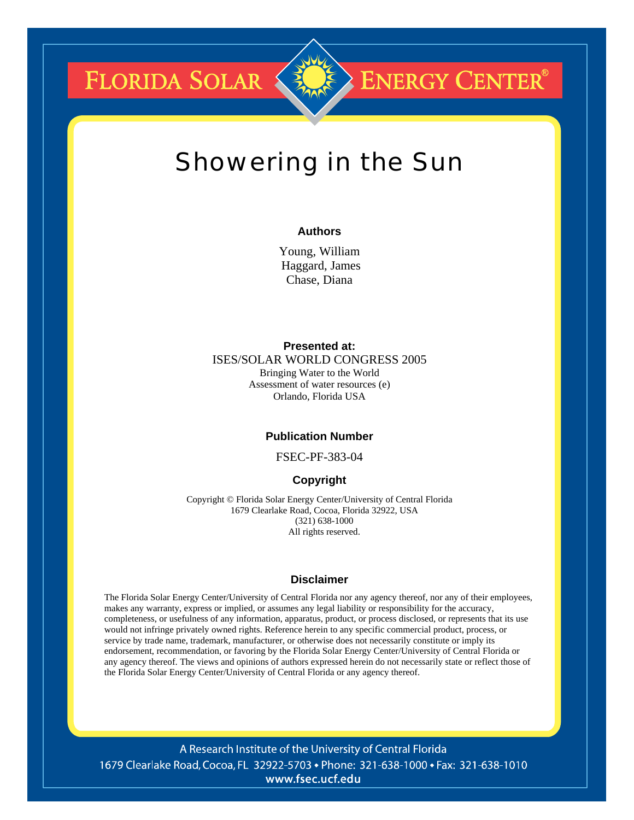**FLORIDA SOLAR &** 



# **ENERGY CENTER®**

# Showering in the Sun

# **Authors**

Young, William Haggard, James Chase, Diana

# **Presented at:**

ISES/SOLAR WORLD CONGRESS 2005 Bringing Water to the World Assessment of water resources (e) Orlando, Florida USA

# **Publication Number**

FSEC-PF-383-04

# **Copyright**

Copyright © Florida Solar Energy Center/University of Central Florida 1679 Clearlake Road, Cocoa, Florida 32922, USA (321) 638-1000 All rights reserved.

# **Disclaimer**

The Florida Solar Energy Center/University of Central Florida nor any agency thereof, nor any of their employees, makes any warranty, express or implied, or assumes any legal liability or responsibility for the accuracy, completeness, or usefulness of any information, apparatus, product, or process disclosed, or represents that its use would not infringe privately owned rights. Reference herein to any specific commercial product, process, or service by trade name, trademark, manufacturer, or otherwise does not necessarily constitute or imply its endorsement, recommendation, or favoring by the Florida Solar Energy Center/University of Central Florida or any agency thereof. The views and opinions of authors expressed herein do not necessarily state or reflect those of the Florida Solar Energy Center/University of Central Florida or any agency thereof.

A Research Institute of the University of Central Florida 1679 Clearlake Road, Cocoa, FL 32922-5703 • Phone: 321-638-1000 • Fax: 321-638-1010 www.fsec.ucf.edu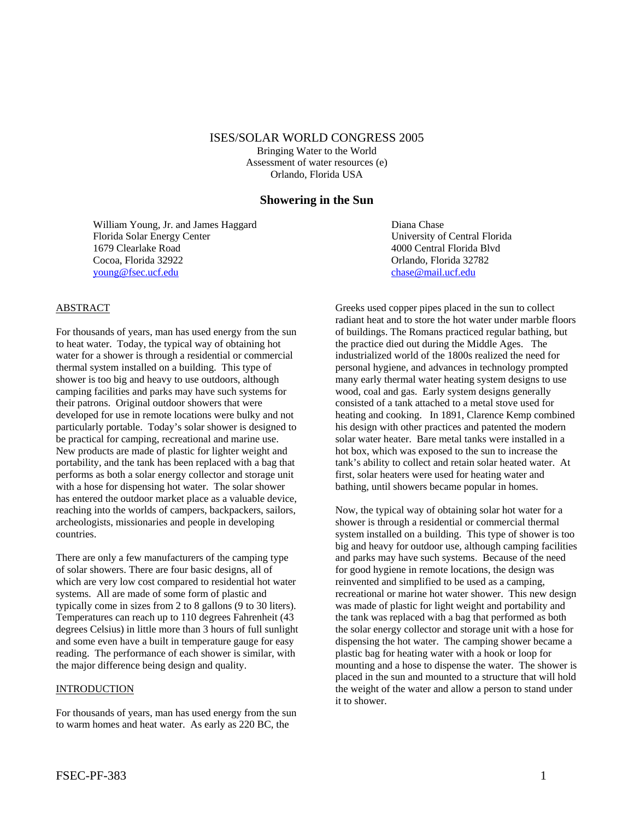#### ISES/SOLAR WORLD CONGRESS 2005

Bringing Water to the World Assessment of water resources (e) Orlando, Florida USA

# **Showering in the Sun**

William Young, Jr. and James Haggard Diana Chase Florida Solar Energy Center University of Central Florida 1679 Clearlake Road 4000 Central Florida Blvd Cocoa, Florida 32922 Orlando, Florida 32782 [young@fsec.ucf.edu](mailto:young@fsec.ucf.edu) [chase@mail.ucf.edu](mailto:chase@mail.ucf.edu)

# ABSTRACT

For thousands of years, man has used energy from the sun to heat water. Today, the typical way of obtaining hot water for a shower is through a residential or commercial thermal system installed on a building. This type of shower is too big and heavy to use outdoors, although camping facilities and parks may have such systems for their patrons. Original outdoor showers that were developed for use in remote locations were bulky and not particularly portable. Today's solar shower is designed to be practical for camping, recreational and marine use. New products are made of plastic for lighter weight and portability, and the tank has been replaced with a bag that performs as both a solar energy collector and storage unit with a hose for dispensing hot water. The solar shower has entered the outdoor market place as a valuable device, reaching into the worlds of campers, backpackers, sailors, archeologists, missionaries and people in developing countries.

There are only a few manufacturers of the camping type of solar showers. There are four basic designs, all of which are very low cost compared to residential hot water systems. All are made of some form of plastic and typically come in sizes from 2 to 8 gallons (9 to 30 liters). Temperatures can reach up to 110 degrees Fahrenheit (43 degrees Celsius) in little more than 3 hours of full sunlight and some even have a built in temperature gauge for easy reading. The performance of each shower is similar, with the major difference being design and quality.

#### INTRODUCTION

For thousands of years, man has used energy from the sun to warm homes and heat water. As early as 220 BC, the

Greeks used copper pipes placed in the sun to collect radiant heat and to store the hot water under marble floors of buildings. The Romans practiced regular bathing, but the practice died out during the Middle Ages. The industrialized world of the 1800s realized the need for personal hygiene, and advances in technology prompted many early thermal water heating system designs to use wood, coal and gas. Early system designs generally consisted of a tank attached to a metal stove used for heating and cooking. In 1891, Clarence Kemp combined his design with other practices and patented the modern solar water heater. Bare metal tanks were installed in a hot box, which was exposed to the sun to increase the tank's ability to collect and retain solar heated water. At first, solar heaters were used for heating water and bathing, until showers became popular in homes.

Now, the typical way of obtaining solar hot water for a shower is through a residential or commercial thermal system installed on a building. This type of shower is too big and heavy for outdoor use, although camping facilities and parks may have such systems. Because of the need for good hygiene in remote locations, the design was reinvented and simplified to be used as a camping, recreational or marine hot water shower. This new design was made of plastic for light weight and portability and the tank was replaced with a bag that performed as both the solar energy collector and storage unit with a hose for dispensing the hot water. The camping shower became a plastic bag for heating water with a hook or loop for mounting and a hose to dispense the water. The shower is placed in the sun and mounted to a structure that will hold the weight of the water and allow a person to stand under it to shower.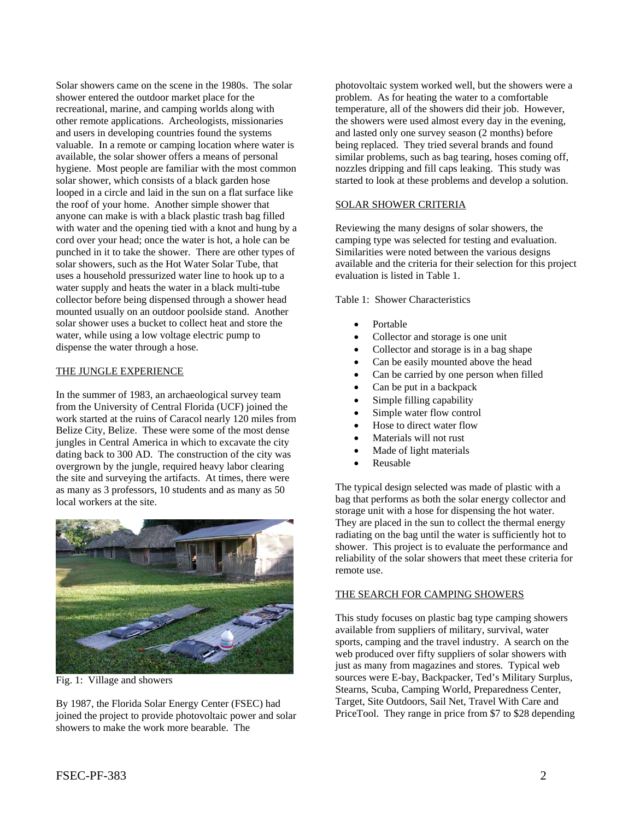Solar showers came on the scene in the 1980s. The solar shower entered the outdoor market place for the recreational, marine, and camping worlds along with other remote applications. Archeologists, missionaries and users in developing countries found the systems valuable. In a remote or camping location where water is available, the solar shower offers a means of personal hygiene. Most people are familiar with the most common solar shower, which consists of a black garden hose looped in a circle and laid in the sun on a flat surface like the roof of your home. Another simple shower that anyone can make is with a black plastic trash bag filled with water and the opening tied with a knot and hung by a cord over your head; once the water is hot, a hole can be punched in it to take the shower. There are other types of solar showers, such as the Hot Water Solar Tube, that uses a household pressurized water line to hook up to a water supply and heats the water in a black multi-tube collector before being dispensed through a shower head mounted usually on an outdoor poolside stand. Another solar shower uses a bucket to collect heat and store the water, while using a low voltage electric pump to dispense the water through a hose.

#### THE JUNGLE EXPERIENCE

In the summer of 1983, an archaeological survey team from the University of Central Florida (UCF) joined the work started at the ruins of Caracol nearly 120 miles from Belize City, Belize. These were some of the most dense jungles in Central America in which to excavate the city dating back to 300 AD. The construction of the city was overgrown by the jungle, required heavy labor clearing the site and surveying the artifacts. At times, there were as many as 3 professors, 10 students and as many as 50 local workers at the site.



Fig. 1: Village and showers

By 1987, the Florida Solar Energy Center (FSEC) had joined the project to provide photovoltaic power and solar showers to make the work more bearable. The

photovoltaic system worked well, but the showers were a problem. As for heating the water to a comfortable temperature, all of the showers did their job. However, the showers were used almost every day in the evening, and lasted only one survey season (2 months) before being replaced. They tried several brands and found similar problems, such as bag tearing, hoses coming off, nozzles dripping and fill caps leaking. This study was started to look at these problems and develop a solution.

#### SOLAR SHOWER CRITERIA

Reviewing the many designs of solar showers, the camping type was selected for testing and evaluation. Similarities were noted between the various designs available and the criteria for their selection for this project evaluation is listed in Table 1.

Table 1: Shower Characteristics

- Portable
- Collector and storage is one unit
- Collector and storage is in a bag shape
- Can be easily mounted above the head
- Can be carried by one person when filled
- Can be put in a backpack
- Simple filling capability
- Simple water flow control
- Hose to direct water flow
- Materials will not rust
- Made of light materials
- Reusable

The typical design selected was made of plastic with a bag that performs as both the solar energy collector and storage unit with a hose for dispensing the hot water. They are placed in the sun to collect the thermal energy radiating on the bag until the water is sufficiently hot to shower. This project is to evaluate the performance and reliability of the solar showers that meet these criteria for remote use.

# THE SEARCH FOR CAMPING SHOWERS

This study focuses on plastic bag type camping showers available from suppliers of military, survival, water sports, camping and the travel industry. A search on the web produced over fifty suppliers of solar showers with just as many from magazines and stores. Typical web sources were E-bay, Backpacker, Ted's Military Surplus, Stearns, Scuba, Camping World, Preparedness Center, Target, Site Outdoors, Sail Net, Travel With Care and PriceTool. They range in price from \$7 to \$28 depending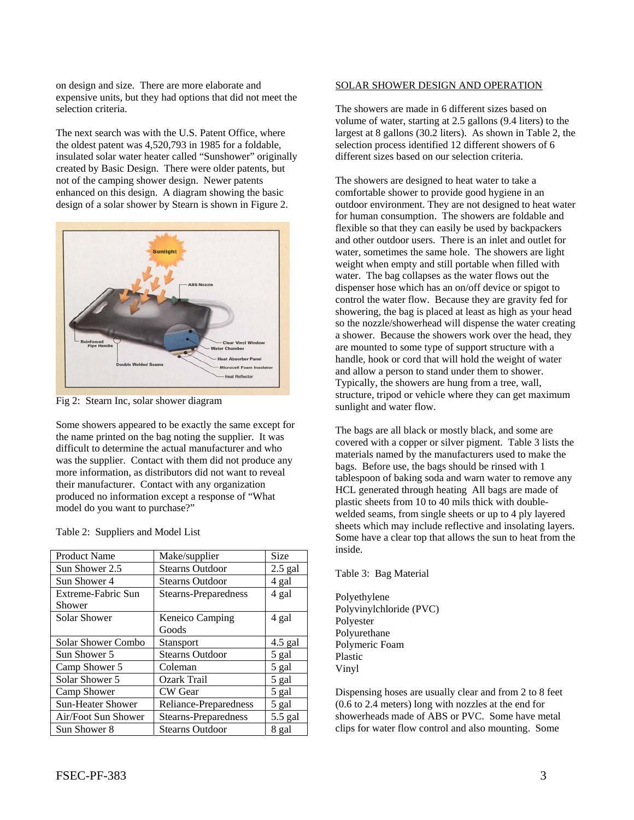on design and size. There are more elaborate and expensive units, but they had options that did not meet the selection criteria.

The next search was with the U.S. Patent Office, where the oldest patent was 4,520,793 in 1985 for a foldable, insulated solar water heater called "Sunshower" originally created by Basic Design. There were older patents, but not of the camping shower design. Newer patents enhanced on this design. A diagram showing the basic design of a solar shower by Stearn is shown in Figure 2.



Fig 2: Stearn Inc, solar shower diagram

Some showers appeared to be exactly the same except for the name printed on the bag noting the supplier. It was difficult to determine the actual manufacturer and who was the supplier. Contact with them did not produce any more information, as distributors did not want to reveal their manufacturer. Contact with any organization produced no information except a response of "What model do you want to purchase?"

| <b>Product Name</b>       | Make/supplier               | Size      |
|---------------------------|-----------------------------|-----------|
| Sun Shower 2.5            | <b>Stearns Outdoor</b>      | $2.5$ gal |
| Sun Shower 4              | <b>Stearns Outdoor</b>      | 4 gal     |
| Extreme-Fabric Sun        | Stearns-Preparedness        | 4 gal     |
| Shower                    |                             |           |
| Solar Shower              | <b>Keneico Camping</b>      | 4 gal     |
|                           | Goods                       |           |
| <b>Solar Shower Combo</b> | <b>Stansport</b>            | $4.5$ gal |
| Sun Shower 5              | <b>Stearns Outdoor</b>      | 5 gal     |
| Camp Shower 5             | Coleman                     | 5 gal     |
| Solar Shower 5            | Ozark Trail                 | 5 gal     |
| Camp Shower               | CW Gear                     | 5 gal     |
| <b>Sun-Heater Shower</b>  | Reliance-Preparedness       | 5 gal     |
| Air/Foot Sun Shower       | <b>Stearns-Preparedness</b> | 5.5 gal   |
| Sun Shower 8              | <b>Stearns Outdoor</b>      | 8 gal     |

#### Table 2: Suppliers and Model List

#### SOLAR SHOWER DESIGN AND OPERATION

The showers are made in 6 different sizes based on volume of water, starting at 2.5 gallons (9.4 liters) to the largest at 8 gallons (30.2 liters). As shown in Table 2, the selection process identified 12 different showers of 6 different sizes based on our selection criteria.

The showers are designed to heat water to take a comfortable shower to provide good hygiene in an outdoor environment. They are not designed to heat water for human consumption. The showers are foldable and flexible so that they can easily be used by backpackers and other outdoor users. There is an inlet and outlet for water, sometimes the same hole. The showers are light weight when empty and still portable when filled with water. The bag collapses as the water flows out the dispenser hose which has an on/off device or spigot to control the water flow. Because they are gravity fed for showering, the bag is placed at least as high as your head so the nozzle/showerhead will dispense the water creating a shower. Because the showers work over the head, they are mounted to some type of support structure with a handle, hook or cord that will hold the weight of water and allow a person to stand under them to shower. Typically, the showers are hung from a tree, wall, structure, tripod or vehicle where they can get maximum sunlight and water flow.

The bags are all black or mostly black, and some are covered with a copper or silver pigment. Table 3 lists the materials named by the manufacturers used to make the bags. Before use, the bags should be rinsed with 1 tablespoon of baking soda and warn water to remove any HCL generated through heating All bags are made of plastic sheets from 10 to 40 mils thick with doublewelded seams, from single sheets or up to 4 ply layered sheets which may include reflective and insolating layers. Some have a clear top that allows the sun to heat from the inside.

# Table 3: Bag Material

Polyethylene Polyvinylchloride (PVC) Polyester Polyurethane Polymeric Foam Plastic Vinyl

Dispensing hoses are usually clear and from 2 to 8 feet (0.6 to 2.4 meters) long with nozzles at the end for showerheads made of ABS or PVC. Some have metal clips for water flow control and also mounting. Some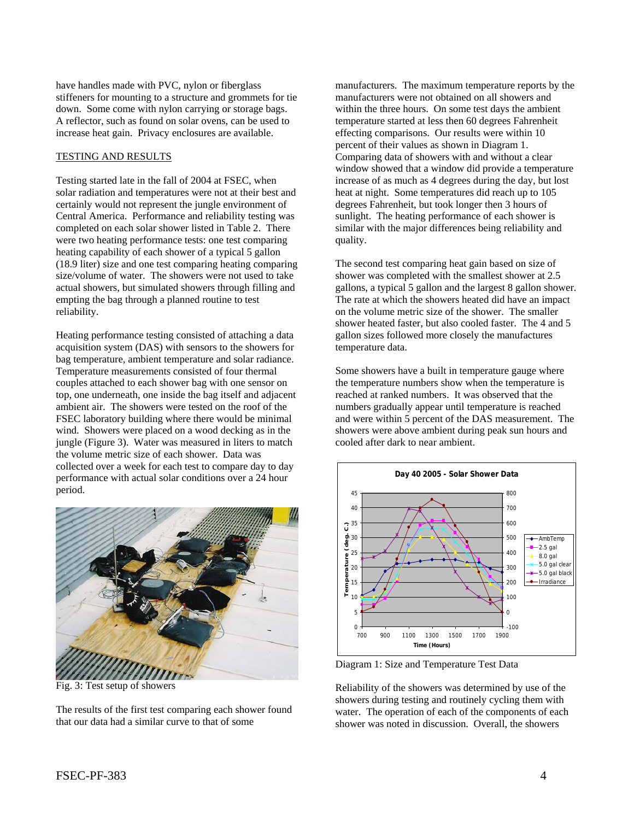have handles made with PVC, nylon or fiberglass stiffeners for mounting to a structure and grommets for tie down. Some come with nylon carrying or storage bags. A reflector, such as found on solar ovens, can be used to increase heat gain. Privacy enclosures are available.

#### TESTING AND RESULTS

Testing started late in the fall of 2004 at FSEC, when solar radiation and temperatures were not at their best and certainly would not represent the jungle environment of Central America. Performance and reliability testing was completed on each solar shower listed in Table 2. There were two heating performance tests: one test comparing heating capability of each shower of a typical 5 gallon (18.9 liter) size and one test comparing heating comparing size/volume of water. The showers were not used to take actual showers, but simulated showers through filling and empting the bag through a planned routine to test reliability.

Heating performance testing consisted of attaching a data acquisition system (DAS) with sensors to the showers for bag temperature, ambient temperature and solar radiance. Temperature measurements consisted of four thermal couples attached to each shower bag with one sensor on top, one underneath, one inside the bag itself and adjacent ambient air. The showers were tested on the roof of the FSEC laboratory building where there would be minimal wind. Showers were placed on a wood decking as in the jungle (Figure 3). Water was measured in liters to match the volume metric size of each shower. Data was collected over a week for each test to compare day to day performance with actual solar conditions over a 24 hour period.



Fig. 3: Test setup of showers

The results of the first test comparing each shower found that our data had a similar curve to that of some

manufacturers. The maximum temperature reports by the manufacturers were not obtained on all showers and within the three hours. On some test days the ambient temperature started at less then 60 degrees Fahrenheit effecting comparisons. Our results were within 10 percent of their values as shown in Diagram 1. Comparing data of showers with and without a clear window showed that a window did provide a temperature increase of as much as 4 degrees during the day, but lost heat at night. Some temperatures did reach up to 105 degrees Fahrenheit, but took longer then 3 hours of sunlight. The heating performance of each shower is similar with the major differences being reliability and quality.

The second test comparing heat gain based on size of shower was completed with the smallest shower at 2.5 gallons, a typical 5 gallon and the largest 8 gallon shower. The rate at which the showers heated did have an impact on the volume metric size of the shower. The smaller shower heated faster, but also cooled faster. The 4 and 5 gallon sizes followed more closely the manufactures temperature data.

Some showers have a built in temperature gauge where the temperature numbers show when the temperature is reached at ranked numbers. It was observed that the numbers gradually appear until temperature is reached and were within 5 percent of the DAS measurement. The showers were above ambient during peak sun hours and cooled after dark to near ambient.



Diagram 1: Size and Temperature Test Data

Reliability of the showers was determined by use of the showers during testing and routinely cycling them with water. The operation of each of the components of each shower was noted in discussion. Overall, the showers